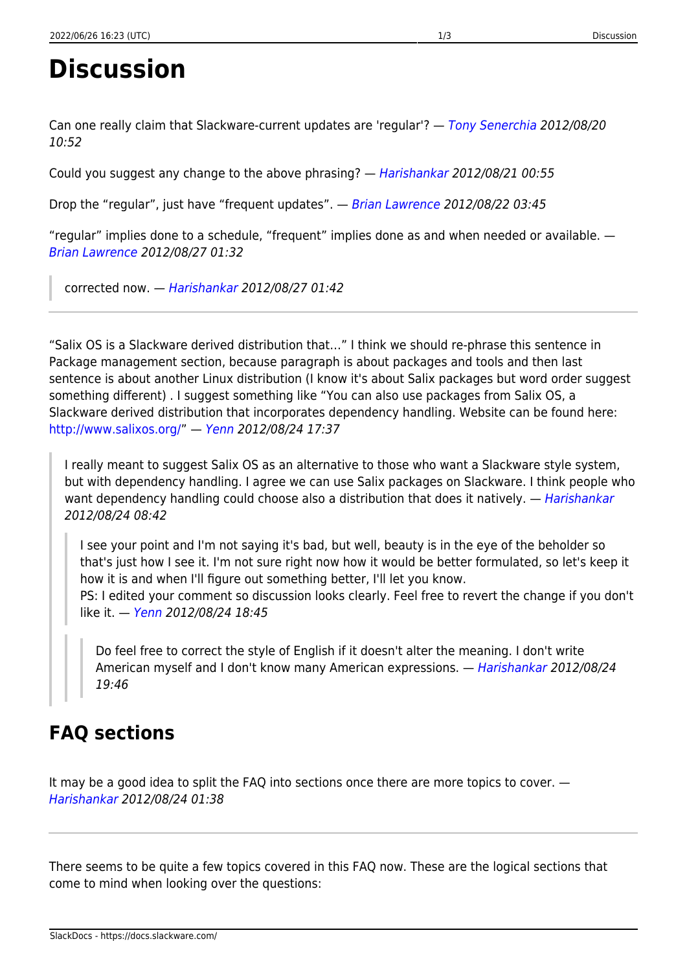## **Discussion**

Can one really claim that Slackware-current updates are 'regular'? - [Tony Senerchia](mailto:asenerchia@gmail.com) 2012/08/20 10:52

Could you suggest any change to the above phrasing? — [Harishankar](https://docs.slackware.com/talk:slackware:harishankar) 2012/08/21 00:55

Drop the "regular", just have "frequent updates". - [Brian Lawrence](mailto:nowbrians@yahoo.co.uk) 2012/08/22 03:45

"regular" implies done to a schedule, "frequent" implies done as and when needed or available. — [Brian Lawrence](mailto:nowbrians@yahoo.co.uk) 2012/08/27 01:32

corrected now. — [Harishankar](https://docs.slackware.com/wiki:user:vharishankar) 2012/08/27 01:42

"Salix OS is a Slackware derived distribution that…" I think we should re-phrase this sentence in Package management section, because paragraph is about packages and tools and then last sentence is about another Linux distribution (I know it's about Salix packages but word order suggest something different) . I suggest something like "You can also use packages from Salix OS, a Slackware derived distribution that incorporates dependency handling. Website can be found here: [http://www.salixos.org/"](http://www.salixos.org/) — [Yenn](https://docs.slackware.com/wiki:user:yenn) 2012/08/24 17:37

I really meant to suggest Salix OS as an alternative to those who want a Slackware style system, but with dependency handling. I agree we can use Salix packages on Slackware. I think people who want dependency handling could choose also a distribution that does it natively. — [Harishankar](https://docs.slackware.com/wiki:user:vharishankar) 2012/08/24 08:42

I see your point and I'm not saying it's bad, but well, beauty is in the eye of the beholder so that's just how I see it. I'm not sure right now how it would be better formulated, so let's keep it how it is and when I'll figure out something better, I'll let you know. PS: I edited your comment so discussion looks clearly. Feel free to revert the change if you don't

like it. - [Yenn](https://docs.slackware.com/wiki:user:yenn) 2012/08/24 18:45

Do feel free to correct the style of English if it doesn't alter the meaning. I don't write American myself and I don't know many American expressions. - [Harishankar](https://docs.slackware.com/wiki:user:vharishankar) 2012/08/24 19:46

## **FAQ sections**

It may be a good idea to split the FAQ into sections once there are more topics to cover. — [Harishankar](https://docs.slackware.com/wiki:user:vharishankar) 2012/08/24 01:38

There seems to be quite a few topics covered in this FAQ now. These are the logical sections that come to mind when looking over the questions: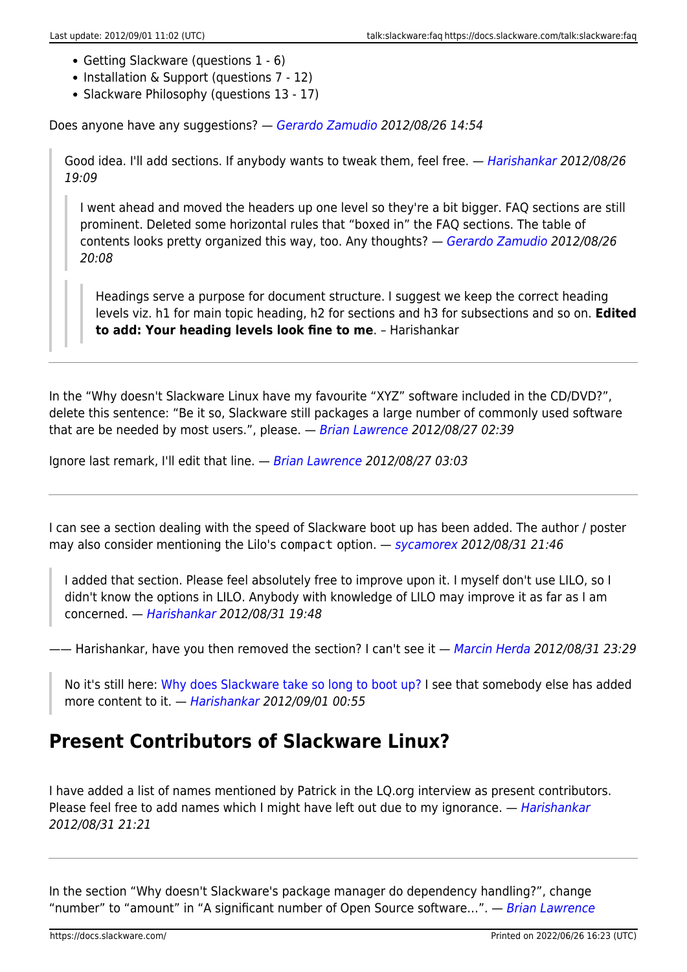- Getting Slackware (questions 1 6)
- Installation & Support (questions 7 12)
- Slackware Philosophy (questions 13 17)

Does anyone have any suggestions? — [Gerardo Zamudio](https://docs.slackware.com/wiki:user:gerardo.zamudio) 2012/08/26 14:54

Good idea. I'll add sections. If anybody wants to tweak them, feel free. — [Harishankar](https://docs.slackware.com/wiki:user:vharishankar) 2012/08/26 19:09

I went ahead and moved the headers up one level so they're a bit bigger. FAQ sections are still prominent. Deleted some horizontal rules that "boxed in" the FAQ sections. The table of contents looks pretty organized this way, too. Any thoughts? - [Gerardo Zamudio](https://docs.slackware.com/wiki:user:gerardo.zamudio) 2012/08/26 20:08

Headings serve a purpose for document structure. I suggest we keep the correct heading levels viz. h1 for main topic heading, h2 for sections and h3 for subsections and so on. **Edited to add: Your heading levels look fine to me**. – Harishankar

In the "Why doesn't Slackware Linux have my favourite "XYZ" software included in the CD/DVD?", delete this sentence: "Be it so, Slackware still packages a large number of commonly used software that are be needed by most users.", please.  $-$  [Brian Lawrence](mailto:nowbrians@yahoo.co.uk) 2012/08/27 02:39

Ignore last remark, I'll edit that line. - [Brian Lawrence](mailto:nowbrians@yahoo.co.uk) 2012/08/27 03:03

I can see a section dealing with the speed of Slackware boot up has been added. The author / poster may also consider mentioning the Lilo's compact option. — [sycamorex](https://docs.slackware.com/wiki:user:sycamorex) 2012/08/31 21:46

I added that section. Please feel absolutely free to improve upon it. I myself don't use LILO, so I didn't know the options in LILO. Anybody with knowledge of LILO may improve it as far as I am concerned. — [Harishankar](https://docs.slackware.com/wiki:user:vharishankar) 2012/08/31 19:48

—— Harishankar, have you then removed the section? I can't see it — [Marcin Herda](https://docs.slackware.com/wiki:user:sycamorex) 2012/08/31 23:29

No it's still here: [Why does Slackware take so long to boot up?](https://docs.slackware.com/slackware:faq#why_does_slackware_take_so_long_to_boot_up) I see that somebody else has added more content to it. — [Harishankar](https://docs.slackware.com/wiki:user:vharishankar) 2012/09/01 00:55

## **Present Contributors of Slackware Linux?**

I have added a list of names mentioned by Patrick in the LQ.org interview as present contributors. Please feel free to add names which I might have left out due to my ignorance. — [Harishankar](https://docs.slackware.com/wiki:user:vharishankar) 2012/08/31 21:21

In the section "Why doesn't Slackware's package manager do dependency handling?", change "number" to "amount" in "A significant number of Open Source software...". — [Brian Lawrence](https://docs.slackware.com/wiki:user:brianl)